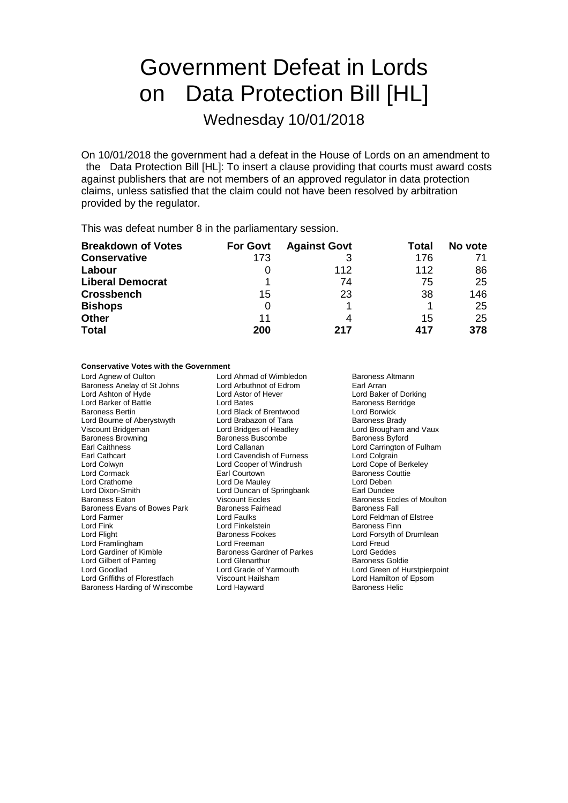# Government Defeat in Lords on Data Protection Bill [HL]

Wednesday 10/01/2018

On 10/01/2018 the government had a defeat in the House of Lords on an amendment to the Data Protection Bill [HL]: To insert a clause providing that courts must award costs against publishers that are not members of an approved regulator in data protection claims, unless satisfied that the claim could not have been resolved by arbitration provided by the regulator.

This was defeat number 8 in the parliamentary session.

| <b>Breakdown of Votes</b> | <b>For Govt</b> | <b>Against Govt</b> | Total | No vote |
|---------------------------|-----------------|---------------------|-------|---------|
| <b>Conservative</b>       | 173             |                     | 176   |         |
| Labour                    |                 | 112                 | 112   | 86      |
| <b>Liberal Democrat</b>   |                 | 74                  | 75    | 25      |
| <b>Crossbench</b>         | 15              | 23                  | 38    | 146     |
| <b>Bishops</b>            | 0               |                     |       | 25      |
| Other                     | 11              | 4                   | 15    | 25      |
| <b>Total</b>              | 200             | 217                 | 417   | 378     |

### **Conservative Votes with the Government**

Lord Agnew of Oulton **Lord Ahmad of Wimbledon** Baroness Altmann<br>
Baroness Anelay of St Johns Lord Arbuthnot of Edrom Earl Arran Baroness Anelay of St Johns Lord Arbuthnot of Ec<br>
Lord Ashton of Hyde Lord Astor of Hever Lord Ashton of Hyde Lord Astor of Hever Lord Baker of Dorking Lord Barker of Battle **Lord Bates** Lord Bates **Baroness Berridge**<br>
Baroness Bertin **Back of Brentwood** Lord Borwick Lord Bourne of Aberystwyth Lord Brabazon of Tara<br>
Viscount Bridgeman Lord Bridges of Headley Baroness Browning Baroness Buscombe Baroness Byford<br>
Earl Caithness Lord Callanan Lord Carrington c Earl Caithness **Lord Callanan** Lord Callanan Lord Carrington of Fulham<br>
Lord Carl Cathcart **Lord Carrington Carrington Carrington Carrington Carrington Carrington Carrington Carrington** Earl Cathcart Lord Cavendish of Furness Lord Colgrain Lord Colwyn Lord Cooper of Windrush<br>
Lord Cormack Courtown<br>
Earl Courtown Lord Cormack **Earl Courtown**<br>
Lord Crathorne **Earl Courtown**<br>
Lord Crathorne **Early Corporate Contract Contract Corporate Contract Corporate Contract Corporate Contract Corporate Corporate Corporate Corporate Corporate Cor** Lord Crathorne **Lord De Mauley** Lord Deben<br>
Lord Dixon-Smith **Lord Deben**<br>
Lord Duncan of Springbank **Lord Deben** Baroness Eaton **Baroness Eccles** Viscount Eccles **Baroness Eccles of Moulton**<br>Baroness Evans of Bowes Park Baroness Fairhead **Baroness Fall** Baroness Evans of Bowes Park Baroness Fa<br>Lord Farmer Lord Faulks Lord Farmer Lord Faulks Lord Feldman of Elstree Lord Flight **Baroness Fookes** Lord Forsyth of Drumlean **Lord Forsyth of Drumlean** Lord Framlingham **Lord Freeman** Lord Freeman Lord Freud<br>
Lord Gardiner of Kimble **Baroness Gardner of Parkes** Lord Geddes Lord Gilbert of Panteg Lord Glenarthur<br>
Lord Goodlad Lord Grade of Yarmouth Lord Griffiths of Fforestfach Viscount Hailsham Lord Hamilton of Baroness Harding of Winscombe Lord Hayward Cornel Daroness Helic Baroness Harding of Winscombe

Lord Black of Brentwood<br>
Lord Brabazon of Tara<br>
Baroness Brady Lord Duncan of Springbank Lord Finkelstein **Baroness Gardner of Parkes Lord Geddes**<br>Lord Glenarthur **Baroness Goldie** 

Lord Brougham and Vaux Lord Grade of Yarmouth Lord Green of Hurstpierpoint<br>
Viscount Hailsham Lord Hamilton of Epsom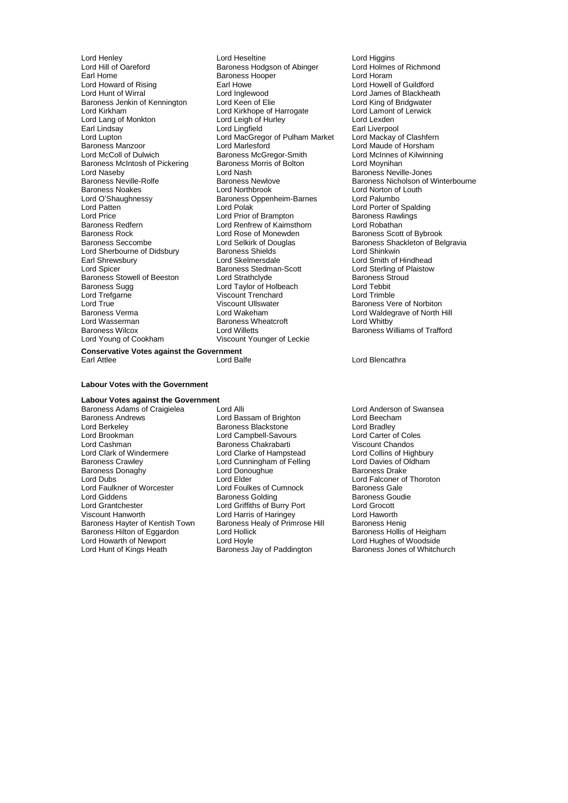Lord Howard of Rising Earl Howe<br>
Lord Hunt of Wirral Cord Inglewood Lord Lang of Monkton Lord Leigh of Earl Lindsay<br>
Earl Lindsay Lord Lingfield Baroness McIntosh of Pickering Baroness I<br>Lord Naseby Lord Nash Lord O'Shaughnessy Baroness Oppenheim-Barnes<br>Lord Patten Lord Polak Baroness Redfern **Lord Renfrew of Kaimsthorn**<br> **Baroness Rock** Cord Rose of Monewden Lord Sherbourne of Didsbury Baroness Shields<br>
Earl Shrewsbury **Baroness**<br>
Lord Skelmersdale Lord Trefgarne Viscount Trenchard<br>
Lord True Viscount Ullswater Lord Wasserman Baroness Wheatcroft<br>
Baroness Wilcox<br>
Lord Willetts

Lord Henley **Lord Heseltine** Lord Heseltine Lord Higgins Lord Higgins<br>
Lord Hill of Oareford **Constant Corporation** Baroness Hodgson of Abinger Lord Holmes of Richmond Lord Hill of Oareford **Baroness Hodgson of Abinger** Lord Holmes **Earl Holmes** Carl Holmes **Carl Holmes Carl Holmes Carl Holmes Carl Holmes Carl Holmes Carl Holmes Carl Holmes Carl Holmes Carl Holmes Carl** Baroness Hooper **Lord Horam**<br> **Earl Howe** Lord Howell of Guildford Lord Inglewood **Lord James of Blackheath**<br>
Lord Keen of Elie **Lord King of Bridgwater** Baroness Jenkin of Kennington Lord Keen of Elie Lord Cord King of Bridgwater<br>
Lord Kirkham Lord Kirkhope of Harrogate Lord Lamont of Lerwick Lord Kirkhope of Harrogate Lord Lamont<br>
Lord Leigh of Hurley Lord Lexden Earl Lindsay Earl Lingfield Earl Liverpool<br>Cord Lupton Lord MacGregor of Pulham Market Lord Mackay of Clashfern Lord Lupton Lord MacGregor of Pulham Market<br>
Baroness Manzoor Lord Marlesford Baroness Manzoor **Lord Marlesford** Lord Marlesford Lord Maude of Horsham<br>
Lord McColl of Dulwich **Baroness McGregor-Smith** Lord McInnes of Kilwinning Exaroness McGregor-Smith Lord McInnes of Baroness Morris of Bolton Lord Moynihan Lord Naseby **Lord Nash Baroness Neville-Jones**<br>
Baroness Neville-Rolfe Baroness Newlove Baroness Next Baroness Net Baroness Net Baroness Net Baroness Net Baroness Net B Baroness Noakes **Lord Northbrook** Lord Norton of Louth<br>
Lord O'Shaughnessy **Lord Ration Baroness** Oppenheim-Barnes Lord Palumbo Lord Patten **Lord Polak Lord Polak Lord Porter of Spalding**<br>
Lord Price **Lord Price Lord Price Corporation**<br>
Lord Prior of Brampton Baroness Rawlings Lord Price **Lord Prior of Brampton** Baroness Rawlings Rawlings Baroness Rawlings Rawlings Rawlings Rawlings Rawlings Baroness Rawlings Rawlings Rawlings Rawlings Rawlings Rawlings Rawlings Rawlings Rawlings Rawlings Rawlin Baroness Rock Lord Rose of Monewden Baroness Scott of Bybrook<br>Baroness Seccombe Lord Selkirk of Douglas Baroness Shackleton of Be Earl Shrewsbury **Lord Skelmersdale** Lord Schrewsbury Lord Shrewsbury Lord Skelmersdale Lord Shrewsbury Lord Sterling of Plaistow<br>
Lord Spicer **Corporation Corporation** Baroness Stedman-Scott Lord Sterling of Plaistow **Example Stedman-Scott** Lord Sterling of Plaistow<br>
Lord Strathclyde Baroness Stroud<br>
Baroness Stroud Baroness Stowell of Beeston Lord Strathclyde Communications Stowell of Baroness Strathclyde Baroness Stroud Baroness Stroud Baroness Stroud Baroness Stroud Baroness Stroud Baroness Stroud Baroness Stroud Baroness Stroud Ba Baroness Sugg 
Lord Taylor of Holbeach<br>
Lord Trefgarne 
Lord Text Coronal Coronal Coronal Coronal Coronal Coronal Coronal Coronal Coronal Coronal Coronal Coronal Coronal Coronal Coronal Coronal Coronal Coronal Coronal Coro Lord True Viscount Ullswater Communist Care Baroness Vere of Norbiton<br>
Baroness Verma Cord Wakeham Cord Waldegrave of North F Baroness Verma **Lord Wakeham** Lord Wakeham Lord Waldegrave of North Hill<br>Lord Wasserman **Lord Wakeham Baroness Wheatcroft** Lord Whitby Baroness Wilcox **Lord Willetts** Lord Willetts **Baroness Williams of Trafford**<br>
Lord Young of Cookham **Microsoft Constructs** Viscount Younger of Leckie Viscount Younger of Leckie

Baroness Neville-Rolfe **Baroness Newlove** Baroness Newlove Baroness Nicholson of Winterbourne<br>Baroness Noakes **Baroness Houte Baroness Newlove** Baroness Nicholson of Louth Lord Selkirk of Douglas Baroness Shackleton of Belgravia<br>Baroness Shields Baroness Shackleton Cord Shinkwin

**Conservative Votes against the Government** Earl Attlee **Lord Balfe** Lord Balfe **Lord Blencathra** 

#### **Labour Votes with the Government**

**Labour Votes against the Government** Baroness Adams of Craigielea Lord Alli Lord Anderson of Swansea<br>
Lord Bassam of Brighton Lord Beecham<br>
Lord Beecham Baroness Andrews **Lord Bassam of Brighton** Cord Beecham<br>
Lord Berkeley **Cord Bassam of Brighton** Cord Bradley<br>
Lord Bradley Lord Berkeley Baroness Blackstone Lord Bradley Lord Brookman Lord Campbell-Savours Lord Carter of Coles Lord Cashman **Baroness Chakrabarti** Viscount Chandos<br>
Lord Clark of Windermere Lord Clarke of Hampstead Lord Collins of Highbury Baroness Crawley **Carolic Cunningham of Felling** Lord Davies of Oldham Baroness Donaghy Cord Davies Lord Donoughue<br>
Lord Donoughue Cord Davies Baroness Drake Baroness Donaghy Lord Donoughue Baroness Donaghy<br>
Lord Dubs<br>
Lord Elder Lord Faulkner of Worcester **Lord Foulkes of Cumnock** Baroness Gale<br>
Lord Giddens **Collact Baroness Golding** Baroness Goudie Lord Giddens **Baroness Golding**<br>
Lord Grantchester **Baroness Golding**<br>
Lord Grantchester **Baroness Colding** Exercise of Burry Port **Baroness Colding** Lord Grantchester Lord Griffiths of Burry Port Lord Grocott Baroness Hayter of Kentish Town Baroness Healy of Primrose Hill Baroness Henig<br>Baroness Hilton of Eggardon Lord Hollick Corean Baroness Hollis of Heigham Baroness Hilton of Eggardon Lord Hollick<br>Lord Howarth of Newport Lord Hoyle

Lord Clarke of Hampstead Lord Elder (Elder Lord Falconer of Thoroton<br>
Lord Foulkes of Cumnock (Elder Baroness Gale Lord Harris of Haringey Lord Haworth<br>
Baroness Healy of Primrose Hill Baroness Henig Lord Howarth of Newport Lord Hoyle Lord Hughes of Woodside

Baroness Jones of Whitchurch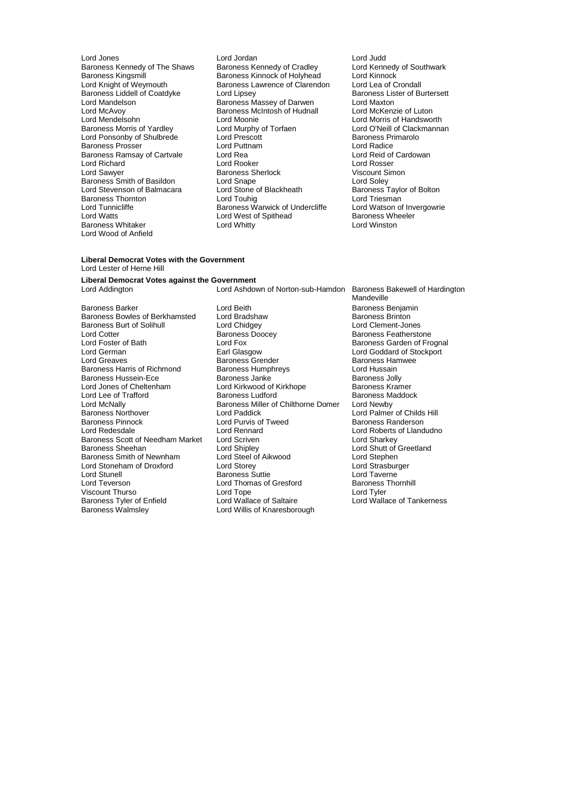Lord McAvoy Baroness McIntosh of Hudnall Lord McKenzie of Luton Baroness Smith of Basildon<br>
Lord Stevenson of Balmacara<br>
Lord Stone of Blackheath Lord Watts **Lord West of Spithead** Baroness Wheeler<br>
Baroness Whitaker **Lord Whitter Cord Whitty** Lord Whitty Baroness Whitaker Lord Wood of Anfield

- Lord Jones Lord Jordan Lord Judd Baroness Kennedy of The Shaws Baroness Kennedy of Cradley Lord Kennedy of Southwark<br>Baroness Kingsmill Baroness Kinnock of Holyhead Lord Kinnock Baroness Kingsmill **Baroness Kinnock of Holyhead** Lord Kinnock<br>
Lord Knight of Weymouth **Baroness Lawrence of Clarendon** Lord Lea of Crondall Baroness Lawrence of Clarendon Lord Lea of Crondall<br>Lord Lipsey Caroness Lister of Burtersett Baroness Liddell of Coatdyke Lord Lipsey<br>
Lord Mandelson Baroness Massey of Darwen Lord Maxton Lord Mandelson **Baroness Massey of Darwen** Lord Maxton<br>
Lord McAvov **Baroness McIntosh of Hudnall** Lord McKenzie of Luton Lord Mendelsohn Lord Moonie Lord Morris of Handsworth Lord Murphy of Torfaen Lord O'Neill of Clackmannan<br>
Lord Prescott Clackmannan<br>
Baroness Primarolo Lord Ponsonby of Shulbrede Lord Prescott **Exercition Baroness Propriet Baroness Propriet Cord Radice**<br>
Lord Puttnam Lord Puttnam Lord Radice Baroness Prosser Lord Puttnam Lord Radice Baroness Ramsay of Cartvale Lord Rea Lord Rea Lord Reid of Lord Reid of Cartvale Lord Rosser Lord Richard **Communist Communist Communist Communist Communist Communist Communist Communist Communist Communist Communist Communist Communist Communist Communist Communist Communist Communist Communist Communist Communis** Baroness Sherlock Viscount Si<br>
Lord Snape Cord Soley Lord Stevenson of Balmacara Lord Stone of Blackheath Baroness Taylor of Bolton<br>Baroness Thornton Baroness Theory Lord Touhiq Lord Triesman Baroness Thornton **Lord Touhig Lord Touhig** Lord Triesman Lord Tunnicliffe The Baroness Warwick of Undercliffe Lord Watson of Invergowrie
	-

#### **Liberal Democrat Votes with the Government** Lord Lester of Herne Hill

## **Liberal Democrat Votes against the Government**

Baroness Burt of Solihull Lord Chidgey<br>
Lord Cotter Context Baroness Doocey Baroness Pinnock Lord Purvis of Tweed<br>
Lord Redesdale Lord Rennard Baroness Scott of Needham Market Lord Scriven<br>Baroness Sheehan Lord Shipley Viscount Thurso Lord Tope<br>
Baroness Tyler of Enfield
Lord Wallace of Saltaire

Lord Ashdown of Norton-sub-Hamdon Baroness Bakewell of Hardington Baroness Barker **Barch Edge Lord Beith** Lord Beith Baroness Benjamin<br>Baroness Bowles of Berkhamsted Lord Bradshaw **Barch Baroness Brinton** Baroness Bowles of Berkhamsted Lord Bradshaw **Baroness Brinton**<br>Baroness Burt of Solihull **Baroness Brinton** Lord Chidgey **Communist Communist Communist Communist Communist Communist Communist Communist Communist Communist** Lord Cotter **Contract Contract Contract Contract Contract Contract Contract Contract Contract Contract Contract**<br>Cord Form Baroness Garden of Frontier Contract Contract Contract Contract Contract Contract Contract Contract Lord Foster of Bath **Lord Fox** Lord Fox **Baroness Garden of Frognal**<br>
Lord German **Baroness Garden Carl Communist Carl Communist Carl Communist Carl Communist Carl Communist Carl Communist Carl Communist Carl Communist Car** Lord German **Earl Glasgow** Earl Glasgow Lord Goddard of Stockport<br>
Earl Glasgow Baroness Grender **Exercise Contract Contract Contract Contract Contract Contract Contract Contract Contract Contract Contract Contract Contrac** Baroness Grender Faroness Hammers Grender Baroness Hammers Baroness Hammers Baroness Hammers Baroness Hammers <br>
Baroness Humphreys Faroness Hammers Baroness Hammers Baroness Hammers Baroness Hammers Baroness Hammers Baron Baroness Harris of Richmond Baroness Humphreys<br>
Baroness Hussein-Ece Baroness Janke Baroness Jolly Baroness Hussein-Ece **Baroness Janke** Baroness Jolly<br>
Lord Jones of Cheltenham **Baroness Aramer** Lord Kirkwood of Kirkhope **Baroness Kramer** Lord Jones of Cheltenham Lord Kirkwood of Kirkhope Baroness Kramer<br>
Lord Lee of Trafford Baroness Ludford Baroness Maddock Lord Lee of Trafford **Baroness Ludford** Baroness Miller of Chilthorne Domer Baroness Miller of Chilthorne Domer Lord Newby Lord McNally **Baroness Miller of Chilthorne Domer**<br>
Baroness Northover<br>
Lord Paddick Baroness Northover **Lord Paddick** Lord Paddick Lord Palmer of Childs Hill<br>
Baroness Pinnock **Lord Purvis of Tweed** Baroness Randerson Lord Rennard **Lord Roberts of Llandudno**<br>
Lord Scriven **Lord Sharkey** Lord Shipley<br>
Lord Shutt of Greetland<br>
Lord Stephen<br>
Lord Stephen Baroness Smith of Newnham Lord Steel of Aikwood Lord Stephen<br>
Lord Storeham of Droxford Lord Storey Lord Christian Lord Strasburger Lord Stoneham of Droxford Lord Storey Lord Storey Lord Strasburger Cord Strasburger Lord Strasburger<br>
Lord Stunell Cord Taverne Lord Stunell Baroness Suttie Lord Taverne<br>
Lord Taverne Lord Taverne<br>
Lord Teverson Lord Thomas of Gresford Baroness Thornhill Lord Thomas of Gresford Baroness<br>
Lord Tope Lord Tyler Baroness Tyler of Enfield Lord Wallace of Saltaire Lord Wallace of Tankerness<br>Baroness Walmsley Lord Willis of Knaresborough Lord Willis of Knaresborough

Mandeville